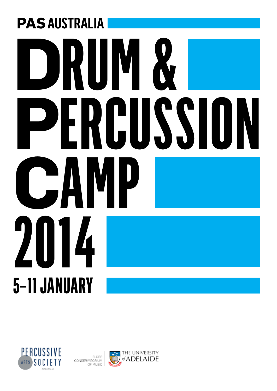# **PAS AUSTRALIA DRUM & PERCUSSION<br>CAMP CAMP 2014 5–11 JANUARY**



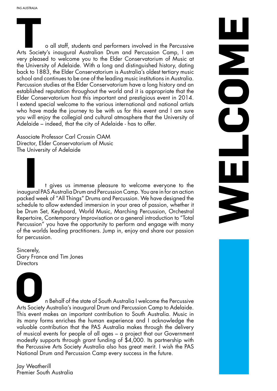o all staff, students and performers involved in the Percussive Arts Society's inaugural Australian Drum and Percussion Camp, I am **T** very pleased to welcome you to the Elder Conservatorium of Music at the University of Adelaide. With a long and distinguished history, dating back to 1883, the Elder Conservatorium is Australia's oldest tertiary music school and continues to be one of the leading music institutions in Australia. Percussion studies at the Elder Conservatorium have a long history and an established reputation throughout the world and it is appropriate that the Elder Conservatorium host this important and prestigious event in 2014. I extend special welcome to the various international and national artists who have made the journey to be with us for this event and I am sure you will enjoy the collegial and cultural atmosphere that the University of Adelaide – indeed, that the city of Adelaide - has to offer.

WELCOME

DOC

Associate Professor Carl Crossin OAM Director, Elder Conservatorium of Music The University of Adelaide

t gives us immense pleasure to welcome everyone to the inaugural PAS Australia Drum and Percussion Camp. You are in for an action **I** packed week of "All Things" Drums and Percussion. We have designed the schedule to allow extended immersion in your area of passion, whether it be Drum Set, Keyboard, World Music, Marching Percussion, Orchestral Repertoire, Contemporary Improvisation or a general introduction to "Total Percussion" you have the opportunity to perform and engage with many of the worlds leading practitioners. Jump in, enjoy and share our passion for percussion.

Sincerely, Gary France and Tim Jones **Directors** 

n Behalf of the state of South Australia I welcome the Percussive Arts Society Australia's inaugural Drum and Percussion Camp to Adelaide. **O**This event makes an important contribution to South Australia. Music in its many forms enriches the human experience and I acknowledge the valuable contribution that the PAS Australia makes through the delivery of musical events for people of all ages – a project that our Government modestly supports through grant funding of \$4,000. Its partnership with the Percussive Arts Society Australia also has great merit. I wish the PAS National Drum and Percussion Camp every success in the future.

Jay Weatherill Premier South Australia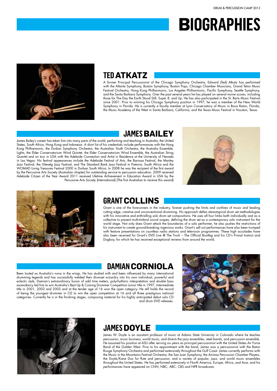# **Biographies**



#### **TEd Atkatz**

A former Principal Percussionist of the Chicago Symphony Orchestra, Edward (Ted) Atkatz has performed with the Atlanta Symphony, Boston Symphony, Boston Pops, Chicago Chamber Musicians, Grand Teton Music Festival Orchestra, Hong Kong Philharmonic, Los Angeles Philharmonic, Pacific Symphony, Seattle Symphony, and the Santa Barbara Symphony. Over the past several years he has played on several movie scores, including those for The Day the Earth Stood Still, Super 8, and Up. He has also participated in the St. Barts Music Festival since 2001. Prior to winning his Chicago Symphony position in 1997, he was a member of the New World Symphony in Florida. He is currently a faculty member at Lynn Conservatory of Music in Boca Raton, Florida, the Music Academy of the West in Santa Barbara, California, and the Texas Music Festival in Houston, Texas.

#### **JAMES Bailey**

James Bailey's career has taken him into many parts of the world, performing and teaching in Australia, the United States, South Africa, Hong Kong and Indonesia. A short list of his credentials include performances with the Hong Kong Philharmonic, the Durban Symphony Orchestra, the Australian Youth Orchestra, the Australia Ensemble, Lights, the Elder Conservatorium Wind Quintet, the Elder Conservatorium Wind Ensemble, the Australian String Quartet and on tour in USA with the Adelaide Connection and Artist in Residence at the University of Nevada in Las Vegas. His festival appearances include the Adelaide Festival of Arts, the Barossa Festival, the Manley Jazz Festival, the Glenelg Jazz Festival, and The Standard Bank Jazz Festival in Pretoria, South Africa and the WOMAD Living Treasures Festival 2000 in Durban South Africa. In 2008 he was the recipient of the first award by the Percussive Arts Society (Australian chapter) for outstanding service to percussion education. 2009 received Adelaide Citizen of the Year Award 2011 received Lifetime Achievement in Education Award in USA by the Percussive Arts Society (International) (The first Australian to receive this award)





#### **GRantCollins**

Grant is one of the forerunners in the industry, forever pushing the limits and confines of music and leading cutting edge, creative and unconventional drumming. His approach defies stereotypical drum set methodologies with his innovative and enthralling solo drum set compositions. He uses all four limbs both individually and as a collective to present multi-timbral sound scapes, defining the drum set as a contemporary solo instrument for the world stage. Not only does Grant attack the boundaries of a solo performer, he also pushes the restrictions of his instrument to create ground-breaking ingenious works. Grant's sell out performances have also been trumped with feature presentations on countless radio stations and television programmes. These high accolades have also been received for Grant's DVD Live @ The Tivoli – The Official Bootleg and his CD's Primal Instinct and Dogboy, for which he has received exceptional reviews from around the world.

## **DAmian Corniola**

Been touted as Australia's nova in the wings. He has studied with and been influenced by many international drumming legends and has successfully welded their drumset wizardry into his own individual, powerful and eclectic style. Damian's extraordinary fusion of odd time meters, polyrhythmic interpretation and double bass ascendancy led him to win Australia's Best Up & Coming Drummer Competition Junior title in 1997, Intermediate title in 2001, 2002 and 2003 and at the tender age of 16 won the open category. He still holds the record of being the youngest drummer in OZ to win the open competition at 16 and all three prestigious national categories. Currently he is in the finishing stages, composing material for his highly anticipated debut solo CD and drum DVD releases.





#### **JAMES Doyle**

James W. Doyle is an assistant professor of music at Adams State University in Colorado where he teaches percussion, music business, world music, and directs the jazz ensembles, steel bands, and percussion ensemble. He assumed his position at ASU after serving six years as principal percussionist with the United States Air Force Band of the Golden West. Prior to his appointment with the band, James was a percussionist with the Baton Rouge Symphony Orchestra and performed extensively throughout the Gulf Coast. James currently performs with the Music in the Mountains Festival Orchestra, the San Juan Symphony, the Animas Percussion Chamber Players, the Doyle/Kane Duo for flute and percussion, and a variety of popular, jazz, and world music ensembles throughout the United States. He has performed extensively in North America, Europe, Africa, and Asia, and his performances have appeared on CNN, NBC, ABC, CBS and NPR broadcasts.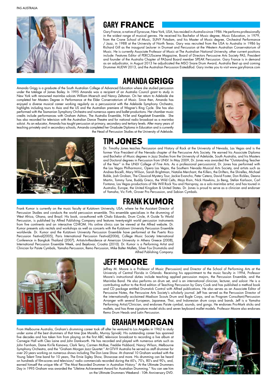PAS AUSTRALIA



## **Gary France**

Gary France, a native of Syracuse, New York, USA, has resided in Australia since 1986. He performs professionally in the widest range of musical genres. He received his Bachelor of Music degree, Music Education, in 1979, from the Crane School of Music, SUNY Potsdam, and his Master of Music degree, Orchestral Performance / Jazz, in 1988 at the University of North Texas. Gary was recruited from the USA to Australia in 1986 by Richard Gill as the inaugural Lecturer in Drumset and Percussion at the Western Australian Conservatorium of Music. He is currently Associate Professor of Music at The Australian National University, other current positions include: Features Editor of PERCUSscene Magazine, Board of Directors Percussive Arts Society PAS, President and founder of the Australia Chapter of PASand Board member SPEAK Percussion. Gary France is in demand as an adjudicator, in August 2013 he adjudicated the MSO Snare Drum Award, Australia Best up and coming Drummer AUDW 2013, and the Australian Percussion Eisteddfod. Gary invites you to visit www.garyfrance.com

#### **AmandaGrigg**

Amanda Grigg is a graduate of the South Australian College of Advanced Education where she studied percussion under the tutelage of James Bailey. In 1995 Amanda was a recipient of an Australia Council grant to study in New York with renowned marimba soloists William Moersch and Nancy Zeltsman. On her return to Adelaide she completed her Masters Degree in Performance at the Elder Conservatorium of Music. Since then, Amanda has enjoyed a diverse musical career working regularly as a percussionist with the Adelaide Symphony Orchestra, highlights including tours to Asia and the US and the Australian premiere of Wagner's Ring Cycle. She has also performed with the Tasmanian Symphony Orchestra and numerous opera and ballet productions. Her chamber music credits include performances with Graham Ashton, The Australia Ensemble, N-Tet and Kegelstatt Ensemble. She has also recorded for television with the Australian Dance Theatre and for national radio broadcast as a marimba soloist. As an educator, Amanda has taught percussion at primary, secondary and tertiary levels. After many years of teaching privately and in secondary schools, Amanda completed her Graduate Diploma in Education and is currently the Head of Percussion Studies at the University of Adelaide.





## **TimJones**

Dr. Timothy Jones teaches Percussion and History of Rock at the University of Nevada, Las Vegas and is the former Vice President of the Nevada chapter of the Percussive Arts Society. He earned his Associate Diploma and Bachelor of Music degrees in Jazz Studies from the University of Adelaide, South Australia, and his Masters and Doctoral degrees in Percussion from UNLV. In May 2009, Dr. Jones was awarded the "Outstanding Teacher of the Year" in the UNLV College of Fine Arts. As a professional percussionist, Dr. Jones has performed with the Las Vegas Philharmonic, Opera Las Vegas, the Southern Nevada Musical Arts Society, and artists such as Andrea Bocelli, Mary Wilson, Sarah Brightman, Natalie Merchant, the Killers, the Drifters, the Shirelles, Michael Buble, Josh Groban, The Classical Mystery Tour, Jackie Evancho, Peter Cetera, David Foster, Don Rickles, Deana Martin, Tommy Tune, Buddy Greco, the Wild Celts, Mojo Risin, Nick Hawkins, Jo Beng, Stefan Karlsson, Carl Fontana, Las Vegas productions of We Will Rock You and Hairspray, as a solo marimba artist, and has toured in Australia, Europe, the United Kingdom & United States. Dr. Jones is proud to serve as a clinician and endorser of Yamaha, Vic Firth, Grover Pro Percussion, and Sabian Cymbals.

#### **Frank Kumor**

Frank Kumor is currently on the music faculty at Kutztown University, USA, where he the Assistant Director of Percussion Studies and conducts the world percussion ensemble. This ensemble specializes in the drumming of West Africa, Ghana, and Brazil. His book, co-authored with Chalo Eduardo, Drum Circle, A Guide To World Percussion, is published by Alfred Publishing Company and features twenty-eight world percussion instruments from five continents and an interactive CD-ROM. His online clinics can be viewed at the Alfred website. Dr. Kumor presents solo recitals and workshops as well as concerts with the Kutztown University Percussion Ensemble worldwide. Dr. Kumor and the Kutztown University Percussion Ensemble have performed at the Puerto Rico Percussion Festival(2005), Paris International Percussion Festival(2006), College Music Society International Conference in Bangkok Thailand (2007), Artists-In-Residence at American University in Athens Greece (2008), International Percussion Ensemble Week, and Bejelovar, Croatia (2010). Dr. Kumor is a Performing Artist and Clinician for Paiste Cymbals, Yamaha Percussion, Remo Percussion, Mike Balter Mallets, Silver Fox Drumsticks and Alfred Publishing Company.





#### **Jeff Moore**

Jeffrey M. Moore is a Professor of Music (Percussion) and Director of the School of Performing Arts at the University of Central Florida in Orlando. Receiving his appointment to the music faculty in 1994, Professor Moore's instructional duties include teaching applied percussion majors, the Percussion Ensemble, and the Marimba Band. He also performs on drum set, and is an international clinician, lecturer, and soloist. He is a contributing author to the third edition of Teaching Percussion by Gary Cook and has published a method book and CD package entitled Drumstick Control with Alfred publications. He also serves as an Associate Editor of Percussive Notes, the Percussive Arts Society's scholarly journal. Jeff has served as the Percussion Director of the internationally acclaimed Madison Scouts Drum and Bugle Corps, and as Program Consultant/Percussion Arranger with several European, Japanese, Thai, and Indonesian drum corps and bands. Jeff is a Yamaha Performing Artist/Clinician, and endorses Paiste cymbal, sounds, and gongs. He endorses Pro-Mark sticks and mallets, and has three signature model sticks and seven keyboard mallet models. Professor Moore also endorses Remo Drum Heads and Latin Percussion.

#### **GrahamMORGAN**

From Melbourne Australia, Graham's drumming career took off after he ventured to Los Angeles in 1962 to study under some of the best drummers of that time (Joe Morello, Murray Spivak). His outstanding career has spanned five decades and has taken him from playing on the first ABC television broadcast to recording a live album at Carnegie Hall with Cleo Laine and John Dankworth. He has recorded and played with numerous artists such as John Farnham, Dame KiriTe Kanawa, Clark Terry, Carmen McRae, Freddie Hubbard, Nancy Wilson, Melbourne Symphony Orchestra, and the "Graham Morgan Jazz Quartet." At GTV-9 Australia he served as staff drummer for over 20 years working on numerous shows including The Don Lane Show. At channel 10 Graham worked with the Young Talent Time band for 10 years, The Ernie Sigley Show, Showcase and more. His drumming can be heard on hundreds of film-scores and television/ radio commercials recorded during the 60's, 70's, 80's and 90's, and, earned himself the unique title of "The Most Recorded Drummer in Australian History." At the Ultimate Drummers Day in 1995 Graham was awarded the "Lifetime Achievement Award for Australian Drumming." You can see him on the Ultimate Drummers Weekend - 10th Anniversary DVD.

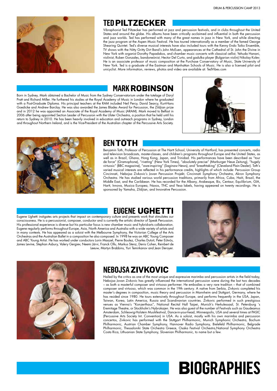

#### **Ted Piltzecker**

Vibraphonist Ted Piltzecker has performed at jazz and percussion festivals, and in clubs throughout the United States and around the globe. His albums have been critically acclaimed and influential in both the percussion and jazz worlds. Ted has performed with many of the great names in jazz in New York, and while directing the jazz program at the Aspen Music Festival. He has toured internationally as a member of the famed George Shearing Quintet. Ted's diverse musical interests have also included tours with the Kenny Endo Taiko Ensemble, TV shows with the Nitty Gritty Dirt Band's John McEuen, appearances at the Cathedral of St. John the Divine in New York with organist Dorothy Papadakos, and chamber music concerts with classical cellist, Yehuda Hanani, violinist, Ruben Gonzales, bandoneónist, Hector Del Curto, and gadulka player (Bulgarian violin) Nikolay Kolev. He is an associate professor of music composition at the Purchase Conservatory of Music, State University of New York. Ted is a graduate of the Eastman and Manhattan Schools of Music. He is also a licensed pilot and unicyclist. More information, reviews, photos and video are available at: TedVibes.com

#### **Mark robinson**

Born in Sydney, Mark obtained a Bachelor of Music from the Sydney Conservatorium under the tutelage of Daryl Pratt and Richard Miller. He furthered his studies at the Royal Academy of Music in London where he graduated with a Post-Graduate Diploma. His principal teachers at the RAM included Neil Percy, David Searcy, Kurt-Hans Goedicke and Andrew Barclay. He was also awarded the James Blades Award for Percussion, the Zildjian prize and in 2012 he was appointed an Associate of the Royal Academy of Music (ARAM). Mark moved to Belfast in 2006 after being appointed Section Leader of Percussion with the Ulster Orchestra, a position that he held until his return to Sydney in 2010. He has been heavily involved in education and outreach programs in Sydney, London and throughout Northern Ireland, and is the Vice-President of the Australian chapter of the Percussive Arts Society.





#### **BEN TOTH**

Benjamin Toth, Professor of Percussion at The Hartt School, University of Hartford, has presented concerts, radio and television broadcasts, master-classes, and children's programs throughout Europe and the United States, as well as in Brazil, Ghana, Hong Kong, Japan, and Trinidad. His performances have been described as "tour de force" (Gramophone), "riveting" (New York Times), "absolutely precise" (Marburger Neue Zeitung), "hugely virtuosic" (BBC magazine), "awe-inspiring" (Saginaw News), and "breathtaking" (Cleveland Plain Dealer). Toth's varied musical interests are reflected in his performance credits, highlights of which include: Percussion Group Cincinnati, Nebojsa Zivkovic's Jovan Percussion Projekt, Cincinnati Symphony Orchestra, Akron Symphony Orchestra. He has studied various world percussion traditions, primarily from Africa, Cuba, Haiti, Brazil, the Middle East, and the Caribbean. He has recorded for the Albany, Arabesque, Bis, Centaur, Equilibrium, GIA, Hartt, Innova, Musica Europea, Naxos, TNC and Yesa labels, having appeared on twenty recordings. He is sponsored by Yamaha, Zildjian, and Innovative Percussion.

#### **Eugene Ughetti**

Eugene Ughetti instigates arts projects that impact on contemporary culture and presents work that stimulates our consciousness. He is a percussionist, composer, conductor and is currently the artistic director of Speak Percussion. His professional experience is diverse but his particular focus is new chamber music and hybrid-arts collaboration. Eugene regularly performs throughout Europe, Asia, North America and Australia with a wide variety of artists and in many contexts. He has appeared as a soloist with the Melbourne Symphony, the Victorian College of the Arts Orchestras and the Australian Ballet in a composition he also composed. In 1998 he was an ABC Young Composer and ABC Young Artist. He has worked under conductors Lorin Maazel, Pierre Boulez, Charles Dutoit, Peter Eötvös, James Levine, Stephan Asbury, Valery Gergiev, Neemi Järvi, Franck Ollu, Markus Stenz, Denis Cohen, Reinbert de Leeuw, Martyn Brabbins, Yuri Temirkanov and Jean Deroyer.





#### **NebojsaZivkovic**

Hailed by the critics as one of the most unique and expressive marimba and percussion artists in the field today, Nebojsa Jovan Zivkovic has greatly influenced the international percussion scene during the last two decades – as both a masterful composer and virtuoso performer. He embodies a very rare tradition – that of combined composer and virtuoso, which was common in the 19th century. A native from Serbia, Zivkovic completed his master's degrees in composition, music theory and percussion in Mannheim and Stuttgart, Germany, where he has resided since 1980. He tours extensively throughout Europe, and performs frequently in the USA, Japan, Taiwan, Korea, Latin America, Russia and Scandinavian countries. Zivkovic performed in such prestigious venues as Vienna's "Konzerthaus", National Recital Hall Taipei, Munich's Herkulessaal, St. Petersburg 's Eremitage Theatre, or Stockholm's Nybrokajen. He was also guest of the number of Festivals such as Gaudeamus Amsterdam, Schleswig-Holstein Musikfestival, Dance-in-your-head, Minneapolis, USA and several times at PASIC (Percussive Arts Society Int. Convention) in USA. As a soloist, mostly with his own marimba and percussion concertos, Zivkovic has performed with the Stuttgart Philharmonic, Munich Symphonic Orchestra, Bochum Philharmonic, Austrian Chamber Symphony, Hannover Radio Symphony, Bielefeld Philharmonic, Belgrade Philharmonic, Thessaloniki State Orchestra Greece, Osaka Festival Orchestra,National Symphony Orchestra Costa Rica, Lithuanian State Symphony, Slovenian Philharmonic, to name but a few.

# **Biographies**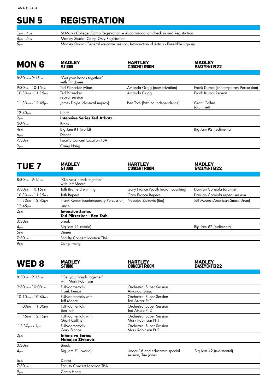# **Sun 5 Registration**

| $1_{pm}$ – $4_{pm}$ | St Marks College: Camp Registration + Accommodation check in and Registration      |
|---------------------|------------------------------------------------------------------------------------|
| $4pm - 5pm$         | Madley Studio: Camp Only Registration                                              |
| 5 <sub>pm</sub>     | Madley Studio: General welcome session, Introduction of Artists - Ensemble sign up |

| <b>MON 6</b>            | <b>MADLEY</b><br><b>STUDIO</b>              | <b>HARTLEY</b><br><b>CONCERT ROOM</b> | <b>MADLEY</b><br><b>BASEMENT B22</b>  |
|-------------------------|---------------------------------------------|---------------------------------------|---------------------------------------|
|                         |                                             |                                       |                                       |
| $8:30cm - 9:15cm$       | "Get your hands together"<br>with Tim Jones |                                       |                                       |
| $9:30$ am – 10:15am     | Ted Piltzecker (vibes)                      | Amanda Grigg (memorization)           | Frank Kumor (contemporary Percussion) |
| $10:30$ am – 11:15am    | Ted Piltzecker<br>repeat session            | Amanda Griga                          | Frank Kumor Repeat                    |
| $11:30$ am – $12:45$ pm | James Doyle (classical improv)              | Ben Toth (Ritmica independence)       | <b>Grant Collins</b><br>(drum set)    |
| 12:45 <sub>pm</sub>     | Lunch                                       |                                       |                                       |
| 2 <sub>pm</sub>         | <b>Intensive Series Ted Atkatz</b>          |                                       |                                       |
| 3:30 <sub>pm</sub>      | Break                                       |                                       |                                       |
| 4 <sub>pm</sub>         | Big Jam #1 (world)                          |                                       | Big Jam #2 (rudimental)               |
| 6 <sub>pm</sub>         | Dinner                                      |                                       |                                       |
| 7:30 <sub>pm</sub>      | <b>Faculty Concert Location TBA</b>         |                                       |                                       |
| $9_{\text{pm}}$         | Camp Hang                                   |                                       |                                       |

| TUE 7                   | <b>MADLEY</b><br><b>STUDIO</b>                              | <b>HARTLEY</b><br><b>CONCERT ROOM</b> | <b>MADLEY</b><br><b>BASEMENT B22</b> |
|-------------------------|-------------------------------------------------------------|---------------------------------------|--------------------------------------|
|                         |                                                             |                                       |                                      |
| $8:30$ am – $9:15$ am   | "Get your hands together"<br>with Jeff Moore                |                                       |                                      |
| $9:30$ am - $10:15$ am  | Toth (frame drumming)                                       | Gary France (South Indian counting)   | Damian Corniola (drumset)            |
| $10:30$ am - $11:15$ am | <b>Toth Repeat</b>                                          | Gary France Repeat                    | Damian Corniola repeat session       |
| $11:30$ am – $12:45$ pm | Frank Kumor (contemporary Percussion)                       | Nebojsa Zivkovic (tba)                | Jeff Moore (American Snare Drum)     |
| 12:45 <sub>pm</sub>     | Lunch                                                       |                                       |                                      |
| 2 <sub>pm</sub>         | <b>Intensive Series</b><br><b>Ted Piltzecker - Ben Toth</b> |                                       |                                      |
| 3:30 <sub>pm</sub>      | Break                                                       |                                       |                                      |
| 4 <sub>pm</sub>         | Big Jam #1 (world)                                          |                                       | Big Jam #2 (rudimental)              |
| 6pm                     | Dinner                                                      |                                       |                                      |
| 7:30 <sub>pm</sub>      | <b>Faculty Concert Location TBA</b>                         |                                       |                                      |
| 9pm                     | Camp Hang                                                   |                                       |                                      |

| WED 8                   | <b>MADLEY</b><br><b>STUDIO</b>                   | <b>HARTLEY</b><br><b>CONCERT ROOM</b>                 | <b>MADLEY</b><br><b>BASEMENT B22</b> |
|-------------------------|--------------------------------------------------|-------------------------------------------------------|--------------------------------------|
|                         |                                                  |                                                       |                                      |
| $8:30$ am - $9:15$ am   | "Get your hands together"<br>with Mark Robinson  |                                                       |                                      |
| $9:30cm - 10:00cm$      | <b>FUNdamentals</b><br>Frank Kumor               | Orchestral Super Session<br>Amanda Grigg              |                                      |
| $10:15$ am $-10:45$ am  | <b>FUNdamentals with</b><br>Jeff Moore           | Orchestral Super Session<br>Ted Atkatz Pt 1           |                                      |
| $11:00$ am – $11:30$ pm | <b>FUNdamentals</b><br>Ben Toth                  | Orchestral Super Session<br>Ted Atkatz Pt 2           |                                      |
| $11:45$ pm - $12:15$ pm | <b>FUNdamentals with</b><br><b>Grant Collins</b> | <b>Orchestral Super Session</b><br>Mark Robinson Pt 1 |                                      |
| $12:30$ pm – $1$ pm     | <b>FUNdamentals</b><br>Gary France               | Orchestral Super Session<br>Mark Robinson Pt 2        |                                      |
| 2 <sub>pm</sub>         | <b>Intensive Series</b><br>Nebojsa Zivkovic      |                                                       |                                      |
| 3:30 <sub>pm</sub>      | <b>Break</b>                                     |                                                       |                                      |
| 4 <sub>pm</sub>         | Big Jam #1 (world)                               | Under 16 and educators special<br>session, Tim Jones  | Big Jam #2 (rudimental)              |
| 6 <sub>pm</sub>         | Dinner                                           |                                                       |                                      |
| 7:30 <sub>pm</sub>      | <b>Faculty Concert Location TBA</b>              |                                                       |                                      |
| 9 <sub>pm</sub>         | Camp Hang                                        |                                                       |                                      |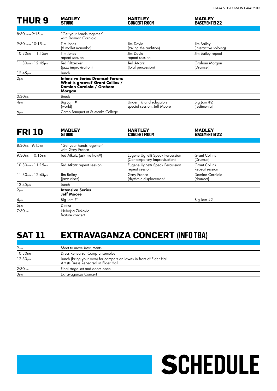#### **THUR 9**

#### **MADLEY**<br>STUDIO

#### **HARTLEY CONCertROOM**

**Madley Basementb22**

**Schedule**

| $8:30$ am – $9:15$ am   | "Get your hands together"<br>with Damian Corniola                                                               |                                                       |                                     |
|-------------------------|-----------------------------------------------------------------------------------------------------------------|-------------------------------------------------------|-------------------------------------|
| $9:30cm - 10:15cm$      | Tim Jones<br>(6 mallet marimba)                                                                                 | Jim Doyle<br>(taking the audition)                    | Jim Bailey<br>(interactive soloing) |
| $10:30$ am - $11:15$ am | Tim Jones<br>repeat session                                                                                     | Jim Doyle<br>repeat session                           | Jim Bailey repeat                   |
| $11:30$ am – $12:45$ pm | <b>Ted Piltzecker</b><br>(jazz improvisation)                                                                   | <b>Ted Atkatz</b><br>(total percussion)               | Graham Morgan<br>(Drumset)          |
| 12:45 <sub>pm</sub>     | Lunch                                                                                                           |                                                       |                                     |
| 2 <sub>pm</sub>         | <b>Intensive Series Drumset Forum:</b><br>What is groove? Grant Collins /<br>Damian Corniola / Graham<br>Morgan |                                                       |                                     |
| 3:30 <sub>pm</sub>      | Break                                                                                                           |                                                       |                                     |
| 4 <sub>pm</sub>         | Big Jam #1<br>(world)                                                                                           | Under 16 and educators<br>special session, Jeff Moore | Big Jam #2<br>(rudimental)          |
| 6 <sub>pm</sub>         | Camp Banquet at St Marks College                                                                                |                                                       |                                     |

| <b>FRI 10</b>           | <b>MADLEY</b><br><b>STUDIO</b>                | <b>HARTLEY</b><br><b>CONCERT ROOM</b>                           | <b>MADLEY</b><br><b>BASEMENT B22</b>   |  |
|-------------------------|-----------------------------------------------|-----------------------------------------------------------------|----------------------------------------|--|
|                         |                                               |                                                                 |                                        |  |
| $8:30cm - 9:15cm$       | "Get your hands together"<br>with Gary France |                                                                 |                                        |  |
| $9:30cm - 10:15cm$      | Ted Atkatz (ask me how?)                      | Eugene Ughetti Speak Percussion<br>(Contemporary Improvisation) | <b>Grant Collins</b><br>(Drumset)      |  |
| $10:30$ am - $11:15$ am | Ted Atkatz repeat session                     | Eugene Ughetti Speak Percussion<br>repeat session               | <b>Grant Collins</b><br>Repeat session |  |
| $11:30$ am - $12:45$ pm | Jim Bailey<br>(jazz vibes)                    | <b>Gary France</b><br>(rhythmic displacement)                   | Damian Corniola<br>(drumset)           |  |
| 12:45 <sub>pm</sub>     | Lunch                                         |                                                                 |                                        |  |
| 2 <sub>pm</sub>         | <b>Intensive Series</b><br>Jeff Moore         |                                                                 |                                        |  |
| 4 <sub>pm</sub>         | Big Jam #1                                    |                                                                 | Big Jam #2                             |  |
| 6 <sub>pm</sub>         | Dinner                                        |                                                                 |                                        |  |
| 7:30 <sub>pm</sub>      | Nebojsa Zivkovic<br>feature concert           |                                                                 |                                        |  |

# **SAT 11 Extravaganza Concert (info TBA)**

| 9 <sub>am</sub>     | Meet to move instruments                                                                                    |
|---------------------|-------------------------------------------------------------------------------------------------------------|
| 10:30 <sub>am</sub> | Dress Rehearsal Camp Ensembles                                                                              |
| 12:30pm             | Lunch (bring your own) for campers on lawns in front of Elder Hall<br>Artists Dress Rehearsal in Elder Hall |
| 2:30 <sub>pm</sub>  | Final stage set and doors open                                                                              |
| 3 <sub>pm</sub>     | Extravaganza Concert                                                                                        |
|                     |                                                                                                             |